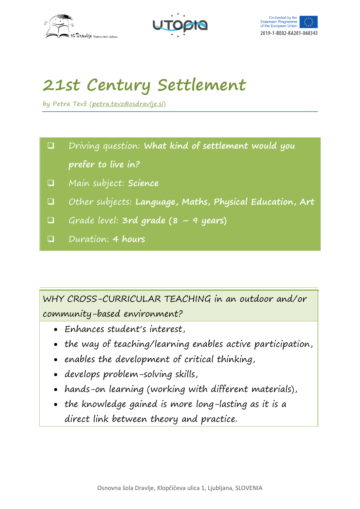





# **21st Century Settlement**

by Petra Tevž ([petra.tevz@osdravlje.si\)](mailto:petra.tevz@osdravlje.si)

- Driving question: **What kind of settlement would you prefer to live in?**
- Main subject: **Science**
- Other subjects: **Language, Maths, Physical Education, Art**
- Grade level: **3rd grade (8 – 9 years)**
- Duration: **4 hours**

WHY CROSS-CURRICULAR TEACHING in an outdoor and/or community-based environment?

- Enhances student's interest,
- the way of teaching/learning enables active participation,
- enables the development of critical thinking,
- develops problem-solving skills,
- hands-on learning (working with different materials),
- the knowledge gained is more long-lasting as it is a direct link between theory and practice.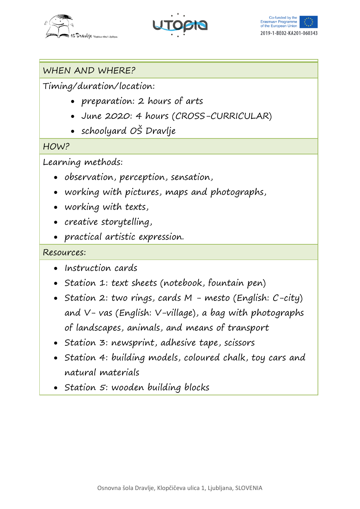





## WHEN AND WHERE?

Timing/duration/location:

- preparation: 2 hours of arts
- June 2020: 4 hours (CROSS-CURRICULAR)
- schoolyard OŠ Dravlje

#### HOW?

Learning methods:

- observation, perception, sensation,
- working with pictures, maps and photographs,
- working with texts,
- creative storytelling,
- practical artistic expression.

### Resources:

- Instruction cards
- Station 1: text sheets (notebook, fountain pen)
- Station 2: two rings, cards  $M$  mesto (English:  $C$ -city) and V- vas (English: V-village), a bag with photographs of landscapes, animals, and means of transport
- Station 3: newsprint, adhesive tape, scissors
- Station 4: building models, coloured chalk, toy cars and natural materials
- Station 5: wooden building blocks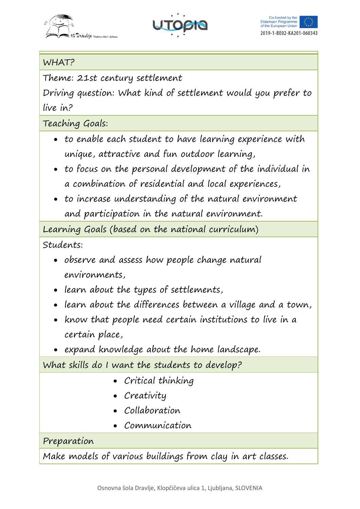





## WHAT?

Theme: 21st century settlement

Driving question: What kind of settlement would you prefer to live in?

Teaching Goals:

- to enable each student to have learning experience with unique, attractive and fun outdoor learning,
- to focus on the personal development of the individual in a combination of residential and local experiences,
- to increase understanding of the natural environment and participation in the natural environment.

Learning Goals (based on the national curriculum)

Students:

- observe and assess how people change natural environments,
- learn about the types of settlements,
- learn about the differences between a village and a town,
- know that people need certain institutions to live in a certain place,
- expand knowledge about the home landscape.

What skills do I want the students to develop?

- Critical thinking
- Creativity
- Collaboration
- *Communication*

## Preparation

Make models of various buildings from clay in art classes.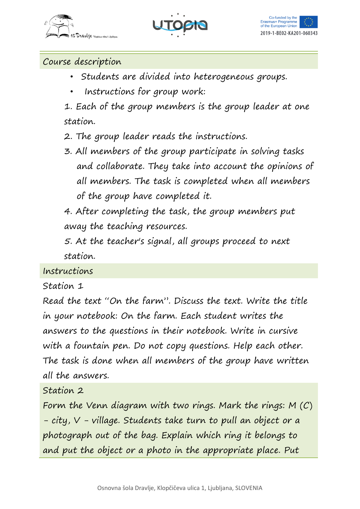





Course description

- Students are divided into heterogeneous groups.
- Instructions for group work:

1. Each of the group members is the group leader at one station.

2. The group leader reads the instructions.

3. All members of the group participate in solving tasks and collaborate. They take into account the opinions of all members. The task is completed when all members of the group have completed it.

4. After completing the task, the group members put away the teaching resources.

5. At the teacher's signal, all groups proceed to next station.

Instructions

Station 1

Read the text "On the farm". Discuss the text. Write the title in your notebook: On the farm. Each student writes the answers to the questions in their notebook. Write in cursive with a fountain pen. Do not copy questions. Help each other. The task is done when all members of the group have written all the answers.

Station 2

Form the Venn diagram with two rings. Mark the rings: M (C) - city, V - village. Students take turn to pull an object or a photograph out of the bag. Explain which ring it belongs to and put the object or a photo in the appropriate place. Put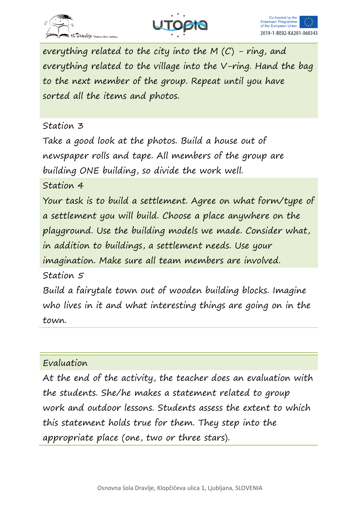





everything related to the city into the M  $(C)$  - ring, and everything related to the village into the V-ring. Hand the bag to the next member of the group. Repeat until you have sorted all the items and photos.

#### Station 3

Take a good look at the photos. Build a house out of newspaper rolls and tape. All members of the group are building ONE building, so divide the work well.

Station 4

Your task is to build a settlement. Agree on what form/type of a settlement you will build. Choose a place anywhere on the playground. Use the building models we made. Consider what, in addition to buildings, a settlement needs. Use your imagination. Make sure all team members are involved.

Station 5

Build a fairytale town out of wooden building blocks. Imagine who lives in it and what interesting things are going on in the town.

#### Evaluation

At the end of the activity, the teacher does an evaluation with the students. She/he makes a statement related to group work and outdoor lessons. Students assess the extent to which this statement holds true for them. They step into the appropriate place (one, two or three stars).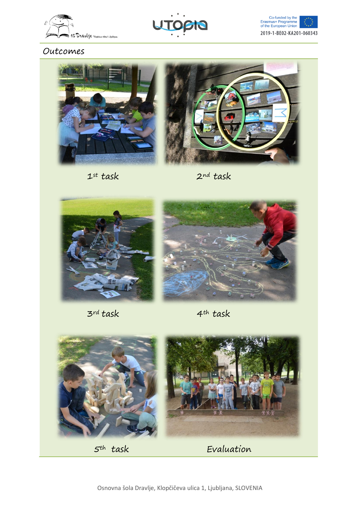





#### Outcomes



 $1^{st}$  task  $2^{nd}$  task





3rd task 4th task